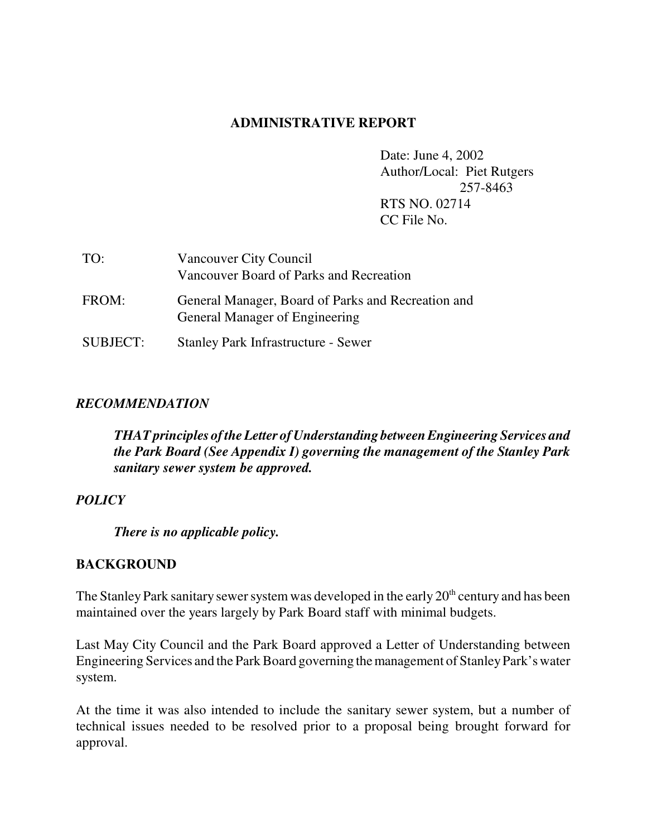## **ADMINISTRATIVE REPORT**

Date: June 4, 2002 Author/Local: Piet Rutgers 257-8463 RTS NO. 02714 CC File No.

| TO:             | Vancouver City Council<br>Vancouver Board of Parks and Recreation                    |
|-----------------|--------------------------------------------------------------------------------------|
| FROM:           | General Manager, Board of Parks and Recreation and<br>General Manager of Engineering |
| <b>SUBJECT:</b> | <b>Stanley Park Infrastructure - Sewer</b>                                           |

## *RECOMMENDATION*

*THATprinciples of the Letter of Understanding between Engineering Services and the Park Board (See Appendix I) governing the management of the Stanley Park sanitary sewer system be approved.*

## *POLICY*

*There is no applicable policy.*

## **BACKGROUND**

The Stanley Park sanitary sewer system was developed in the early  $20<sup>th</sup>$  century and has been maintained over the years largely by Park Board staff with minimal budgets.

Last May City Council and the Park Board approved a Letter of Understanding between Engineering Services and the Park Board governing the management of Stanley Park's water system.

At the time it was also intended to include the sanitary sewer system, but a number of technical issues needed to be resolved prior to a proposal being brought forward for approval.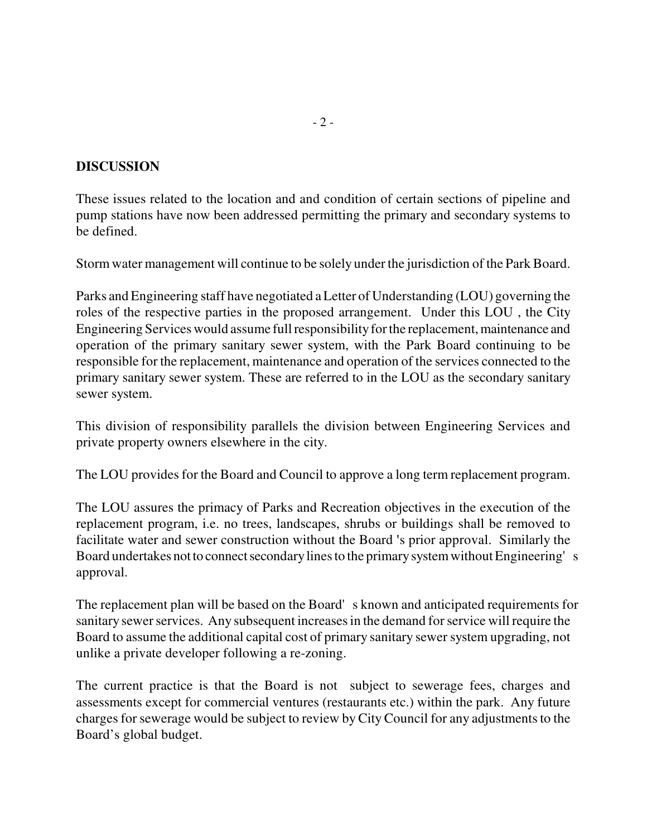### **DISCUSSION**

These issues related to the location and and condition of certain sections of pipeline and pump stations have now been addressed permitting the primary and secondary systems to be defined.

Storm water management will continue to be solely under the jurisdiction of the Park Board.

Parks and Engineering staff have negotiated a Letter of Understanding (LOU) governing the roles of the respective parties in the proposed arrangement. Under this LOU , the City Engineering Services would assume full responsibility for the replacement, maintenance and operation of the primary sanitary sewer system, with the Park Board continuing to be responsible for the replacement, maintenance and operation of the services connected to the primary sanitary sewer system. These are referred to in the LOU as the secondary sanitary sewer system.

This division of responsibility parallels the division between Engineering Services and private property owners elsewhere in the city.

The LOU provides for the Board and Council to approve a long term replacement program.

The LOU assures the primacy of Parks and Recreation objectives in the execution of the replacement program, i.e. no trees, landscapes, shrubs or buildings shall be removed to facilitate water and sewer construction without the Board 's prior approval. Similarly the Board undertakes not to connect secondary lines to the primary system without Engineering's approval.

The replacement plan will be based on the Board's known and anticipated requirements for sanitary sewer services. Any subsequent increases in the demand for service will require the Board to assume the additional capital cost of primary sanitary sewer system upgrading, not unlike a private developer following a re-zoning.

The current practice is that the Board is not subject to sewerage fees, charges and assessments except for commercial ventures (restaurants etc.) within the park. Any future charges for sewerage would be subject to review by City Council for any adjustments to the Board's global budget.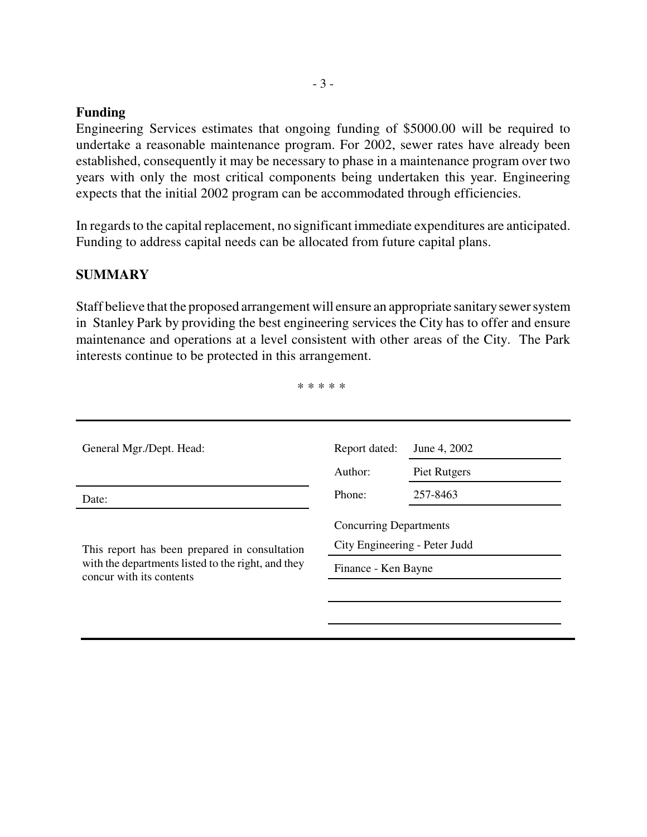#### **Funding**

Engineering Services estimates that ongoing funding of \$5000.00 will be required to undertake a reasonable maintenance program. For 2002, sewer rates have already been established, consequently it may be necessary to phase in a maintenance program over two years with only the most critical components being undertaken this year. Engineering expects that the initial 2002 program can be accommodated through efficiencies.

In regards to the capital replacement, no significant immediate expenditures are anticipated. Funding to address capital needs can be allocated from future capital plans.

# **SUMMARY**

Staff believe that the proposed arrangement will ensure an appropriate sanitary sewer system in Stanley Park by providing the best engineering services the City has to offer and ensure maintenance and operations at a level consistent with other areas of the City. The Park interests continue to be protected in this arrangement.

\* \* \* \* \*

| General Mgr./Dept. Head:                                                       | Report dated:                                                  | June 4, 2002 |
|--------------------------------------------------------------------------------|----------------------------------------------------------------|--------------|
|                                                                                | Author:                                                        | Piet Rutgers |
| Date:                                                                          | Phone:                                                         | 257-8463     |
| This report has been prepared in consultation                                  | <b>Concurring Departments</b><br>City Engineering - Peter Judd |              |
| with the departments listed to the right, and they<br>concur with its contents | Finance - Ken Bayne                                            |              |
|                                                                                |                                                                |              |
|                                                                                |                                                                |              |